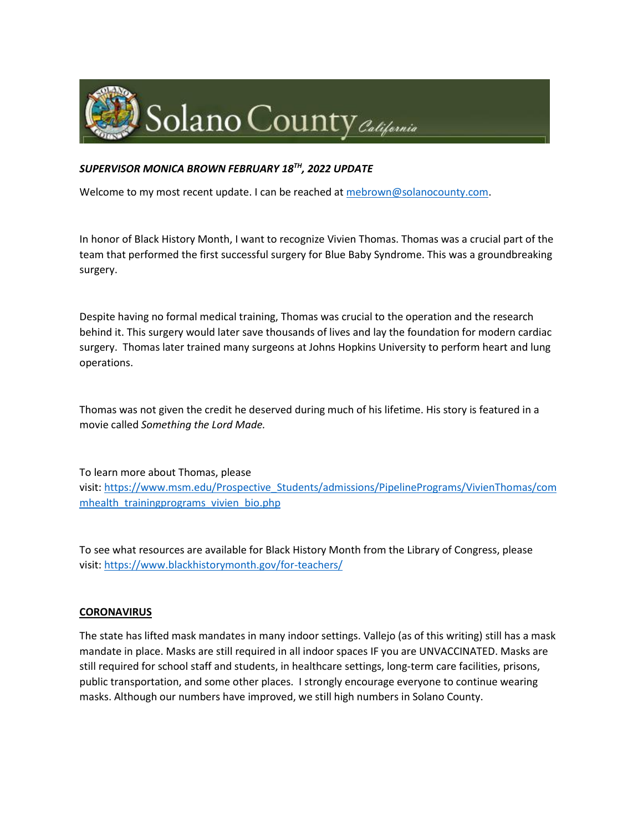

## *SUPERVISOR MONICA BROWN FEBRUARY 18TH, 2022 UPDATE*

Welcome to my most recent update. I can be reached at [mebrown@solanocounty.com.](mailto:mebrown@solanocounty.com)

In honor of Black History Month, I want to recognize Vivien Thomas. Thomas was a crucial part of the team that performed the first successful surgery for Blue Baby Syndrome. This was a groundbreaking surgery.

Despite having no formal medical training, Thomas was crucial to the operation and the research behind it. This surgery would later save thousands of lives and lay the foundation for modern cardiac surgery. Thomas later trained many surgeons at Johns Hopkins University to perform heart and lung operations.

Thomas was not given the credit he deserved during much of his lifetime. His story is featured in a movie called *Something the Lord Made.*

To learn more about Thomas, please visit: https://www.msm.edu/Prospective Students/admissions/PipelinePrograms/VivienThomas/com [mhealth\\_trainingprograms\\_vivien\\_bio.php](https://gcc02.safelinks.protection.outlook.com/?url=https%3A%2F%2Fwww.msm.edu%2FProspective_Students%2Fadmissions%2FPipelinePrograms%2FVivienThomas%2Fcommhealth_trainingprograms_vivien_bio.php&data=04%7C01%7C%7Cc8a88a74f38843196ea708d9f1acae92%7C5e7f20ace5f14f838c3bce44b8486421%7C0%7C0%7C637806546221698323%7CUnknown%7CTWFpbGZsb3d8eyJWIjoiMC4wLjAwMDAiLCJQIjoiV2luMzIiLCJBTiI6Ik1haWwiLCJXVCI6Mn0%3D%7C3000&sdata=wsDWN%2FP%2BHF7%2BNcLDYWioVMs3VTOjrz%2BX2%2BIY%2FI6e1B0%3D&reserved=0)

To see what resources are available for Black History Month from the Library of Congress, please visit: [https://www.blackhistorymonth.gov/for-teachers/](https://gcc02.safelinks.protection.outlook.com/?url=https%3A%2F%2Fwww.blackhistorymonth.gov%2Ffor-teachers%2F&data=04%7C01%7C%7Cc8a88a74f38843196ea708d9f1acae92%7C5e7f20ace5f14f838c3bce44b8486421%7C0%7C0%7C637806546221698323%7CUnknown%7CTWFpbGZsb3d8eyJWIjoiMC4wLjAwMDAiLCJQIjoiV2luMzIiLCJBTiI6Ik1haWwiLCJXVCI6Mn0%3D%7C3000&sdata=Hy6lz0rNjRbirKzPV3IE7LBlGfQUvt%2BGpWE94dauwtM%3D&reserved=0)

#### **CORONAVIRUS**

The state has lifted mask mandates in many indoor settings. Vallejo (as of this writing) still has a mask mandate in place. Masks are still required in all indoor spaces IF you are UNVACCINATED. Masks are still required for school staff and students, in healthcare settings, long-term care facilities, prisons, public transportation, and some other places. I strongly encourage everyone to continue wearing masks. Although our numbers have improved, we still high numbers in Solano County.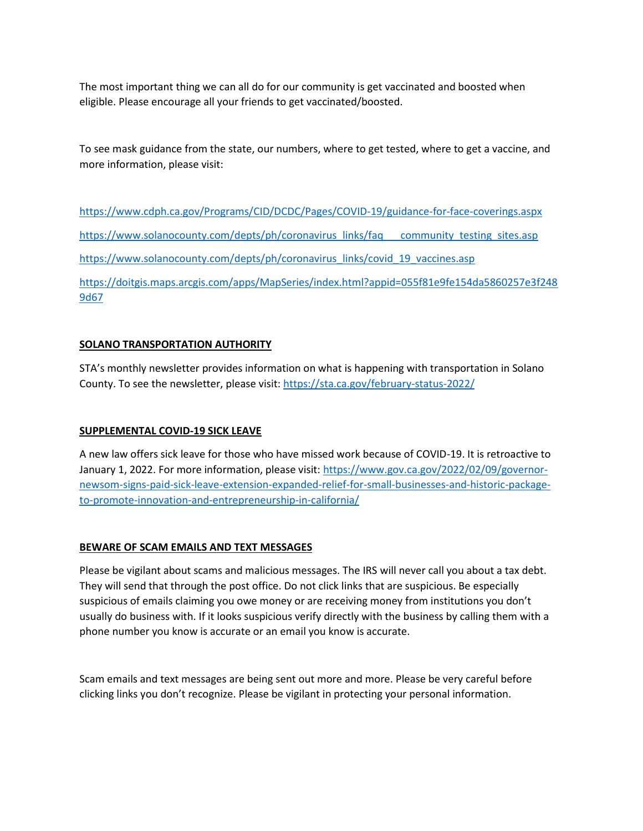The most important thing we can all do for our community is get vaccinated and boosted when eligible. Please encourage all your friends to get vaccinated/boosted.

To see mask guidance from the state, our numbers, where to get tested, where to get a vaccine, and more information, please visit:

[https://www.cdph.ca.gov/Programs/CID/DCDC/Pages/COVID-19/guidance-for-face-coverings.aspx](https://gcc02.safelinks.protection.outlook.com/?url=https%3A%2F%2Fwww.cdph.ca.gov%2FPrograms%2FCID%2FDCDC%2FPages%2FCOVID-19%2Fguidance-for-face-coverings.aspx&data=04%7C01%7C%7Cc8a88a74f38843196ea708d9f1acae92%7C5e7f20ace5f14f838c3bce44b8486421%7C0%7C0%7C637806546221698323%7CUnknown%7CTWFpbGZsb3d8eyJWIjoiMC4wLjAwMDAiLCJQIjoiV2luMzIiLCJBTiI6Ik1haWwiLCJXVCI6Mn0%3D%7C3000&sdata=NUwjONMb2A8xjCEZitaOBvIu3TGepc719benUWi7j%2FQ%3D&reserved=0) [https://www.solanocounty.com/depts/ph/coronavirus\\_links/faq\\_\\_\\_community\\_testing\\_sites.asp](https://www.solanocounty.com/depts/ph/coronavirus_links/faq___community_testing_sites.asp) [https://www.solanocounty.com/depts/ph/coronavirus\\_links/covid\\_19\\_vaccines.asp](https://www.solanocounty.com/depts/ph/coronavirus_links/covid_19_vaccines.asp)

[https://doitgis.maps.arcgis.com/apps/MapSeries/index.html?appid=055f81e9fe154da5860257e3f248](https://doitgis.maps.arcgis.com/apps/MapSeries/index.html?appid=055f81e9fe154da5860257e3f2489d67) [9d67](https://doitgis.maps.arcgis.com/apps/MapSeries/index.html?appid=055f81e9fe154da5860257e3f2489d67)

## **SOLANO TRANSPORTATION AUTHORITY**

STA's monthly newsletter provides information on what is happening with transportation in Solano County. To see the newsletter, please visit: [https://sta.ca.gov/february-status-2022/](https://gcc02.safelinks.protection.outlook.com/?url=https%3A%2F%2Fsta.ca.gov%2Ffebruary-status-2022%2F&data=04%7C01%7C%7Cc8a88a74f38843196ea708d9f1acae92%7C5e7f20ace5f14f838c3bce44b8486421%7C0%7C0%7C637806546221698323%7CUnknown%7CTWFpbGZsb3d8eyJWIjoiMC4wLjAwMDAiLCJQIjoiV2luMzIiLCJBTiI6Ik1haWwiLCJXVCI6Mn0%3D%7C3000&sdata=sdOLojtpPm0Wg7ijWbcZjL8eELRDN2ZMrh4e6d%2FJ7hY%3D&reserved=0)

# **SUPPLEMENTAL COVID-19 SICK LEAVE**

A new law offers sick leave for those who have missed work because of COVID-19. It is retroactive to January 1, 2022. For more information, please visit: [https://www.gov.ca.gov/2022/02/09/governor](https://gcc02.safelinks.protection.outlook.com/?url=https%3A%2F%2Fwww.gov.ca.gov%2F2022%2F02%2F09%2Fgovernor-newsom-signs-paid-sick-leave-extension-expanded-relief-for-small-businesses-and-historic-package-to-promote-innovation-and-entrepreneurship-in-california%2F&data=04%7C01%7C%7Cc8a88a74f38843196ea708d9f1acae92%7C5e7f20ace5f14f838c3bce44b8486421%7C0%7C0%7C637806546221698323%7CUnknown%7CTWFpbGZsb3d8eyJWIjoiMC4wLjAwMDAiLCJQIjoiV2luMzIiLCJBTiI6Ik1haWwiLCJXVCI6Mn0%3D%7C3000&sdata=X0q66nq0%2BWZ1WTAl4VMmoMxnq2qHRkzr%2BRYk6VmVG7k%3D&reserved=0)[newsom-signs-paid-sick-leave-extension-expanded-relief-for-small-businesses-and-historic-package](https://gcc02.safelinks.protection.outlook.com/?url=https%3A%2F%2Fwww.gov.ca.gov%2F2022%2F02%2F09%2Fgovernor-newsom-signs-paid-sick-leave-extension-expanded-relief-for-small-businesses-and-historic-package-to-promote-innovation-and-entrepreneurship-in-california%2F&data=04%7C01%7C%7Cc8a88a74f38843196ea708d9f1acae92%7C5e7f20ace5f14f838c3bce44b8486421%7C0%7C0%7C637806546221698323%7CUnknown%7CTWFpbGZsb3d8eyJWIjoiMC4wLjAwMDAiLCJQIjoiV2luMzIiLCJBTiI6Ik1haWwiLCJXVCI6Mn0%3D%7C3000&sdata=X0q66nq0%2BWZ1WTAl4VMmoMxnq2qHRkzr%2BRYk6VmVG7k%3D&reserved=0)[to-promote-innovation-and-entrepreneurship-in-california/](https://gcc02.safelinks.protection.outlook.com/?url=https%3A%2F%2Fwww.gov.ca.gov%2F2022%2F02%2F09%2Fgovernor-newsom-signs-paid-sick-leave-extension-expanded-relief-for-small-businesses-and-historic-package-to-promote-innovation-and-entrepreneurship-in-california%2F&data=04%7C01%7C%7Cc8a88a74f38843196ea708d9f1acae92%7C5e7f20ace5f14f838c3bce44b8486421%7C0%7C0%7C637806546221698323%7CUnknown%7CTWFpbGZsb3d8eyJWIjoiMC4wLjAwMDAiLCJQIjoiV2luMzIiLCJBTiI6Ik1haWwiLCJXVCI6Mn0%3D%7C3000&sdata=X0q66nq0%2BWZ1WTAl4VMmoMxnq2qHRkzr%2BRYk6VmVG7k%3D&reserved=0)

#### **BEWARE OF SCAM EMAILS AND TEXT MESSAGES**

Please be vigilant about scams and malicious messages. The IRS will never call you about a tax debt. They will send that through the post office. Do not click links that are suspicious. Be especially suspicious of emails claiming you owe money or are receiving money from institutions you don't usually do business with. If it looks suspicious verify directly with the business by calling them with a phone number you know is accurate or an email you know is accurate.

Scam emails and text messages are being sent out more and more. Please be very careful before clicking links you don't recognize. Please be vigilant in protecting your personal information.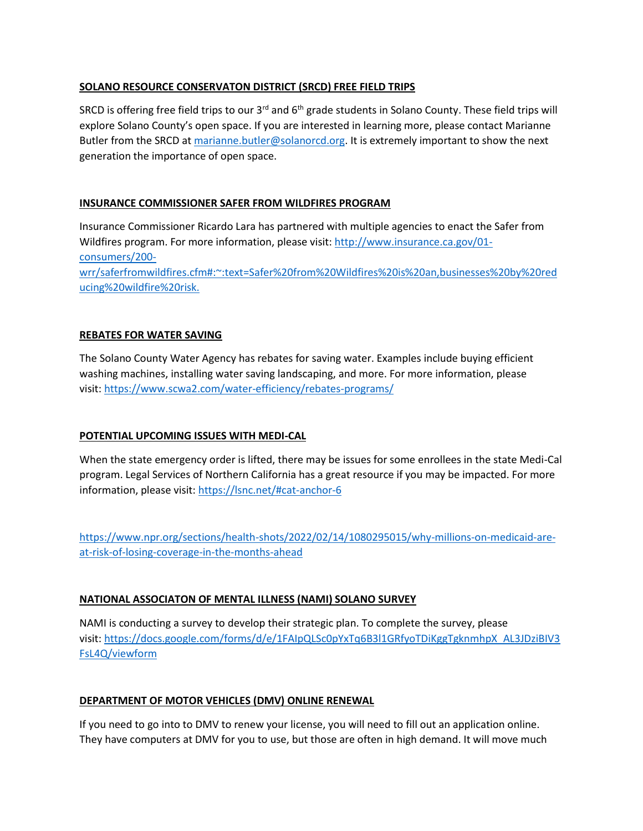## **SOLANO RESOURCE CONSERVATON DISTRICT (SRCD) FREE FIELD TRIPS**

SRCD is offering free field trips to our 3<sup>rd</sup> and 6<sup>th</sup> grade students in Solano County. These field trips will explore Solano County's open space. If you are interested in learning more, please contact Marianne Butler from the SRCD at [marianne.butler@solanorcd.org.](mailto:marianne.butler@solanorcd.org) It is extremely important to show the next generation the importance of open space.

## **INSURANCE COMMISSIONER SAFER FROM WILDFIRES PROGRAM**

Insurance Commissioner Ricardo Lara has partnered with multiple agencies to enact the Safer from Wildfires program. For more information, please visit: [http://www.insurance.ca.gov/01](https://gcc02.safelinks.protection.outlook.com/?url=http%3A%2F%2Fwww.insurance.ca.gov%2F01-consumers%2F200-wrr%2Fsaferfromwildfires.cfm%23%3A~%3Atext%3DSafer%2520from%2520Wildfires%2520is%2520an%2Cbusinesses%2520by%2520reducing%2520wildfire%2520risk.&data=04%7C01%7C%7Cc8a88a74f38843196ea708d9f1acae92%7C5e7f20ace5f14f838c3bce44b8486421%7C0%7C0%7C637806546221698323%7CUnknown%7CTWFpbGZsb3d8eyJWIjoiMC4wLjAwMDAiLCJQIjoiV2luMzIiLCJBTiI6Ik1haWwiLCJXVCI6Mn0%3D%7C3000&sdata=2S%2Flqnr0MetN2VkpfoTbxy14LwmDT1jx3w%2FhwWNlS9Y%3D&reserved=0) [consumers/200](https://gcc02.safelinks.protection.outlook.com/?url=http%3A%2F%2Fwww.insurance.ca.gov%2F01-consumers%2F200-wrr%2Fsaferfromwildfires.cfm%23%3A~%3Atext%3DSafer%2520from%2520Wildfires%2520is%2520an%2Cbusinesses%2520by%2520reducing%2520wildfire%2520risk.&data=04%7C01%7C%7Cc8a88a74f38843196ea708d9f1acae92%7C5e7f20ace5f14f838c3bce44b8486421%7C0%7C0%7C637806546221698323%7CUnknown%7CTWFpbGZsb3d8eyJWIjoiMC4wLjAwMDAiLCJQIjoiV2luMzIiLCJBTiI6Ik1haWwiLCJXVCI6Mn0%3D%7C3000&sdata=2S%2Flqnr0MetN2VkpfoTbxy14LwmDT1jx3w%2FhwWNlS9Y%3D&reserved=0) [wrr/saferfromwildfires.cfm#:~:text=Safer%20from%20Wildfires%20is%20an,businesses%20by%20red](https://gcc02.safelinks.protection.outlook.com/?url=http%3A%2F%2Fwww.insurance.ca.gov%2F01-consumers%2F200-wrr%2Fsaferfromwildfires.cfm%23%3A~%3Atext%3DSafer%2520from%2520Wildfires%2520is%2520an%2Cbusinesses%2520by%2520reducing%2520wildfire%2520risk.&data=04%7C01%7C%7Cc8a88a74f38843196ea708d9f1acae92%7C5e7f20ace5f14f838c3bce44b8486421%7C0%7C0%7C637806546221698323%7CUnknown%7CTWFpbGZsb3d8eyJWIjoiMC4wLjAwMDAiLCJQIjoiV2luMzIiLCJBTiI6Ik1haWwiLCJXVCI6Mn0%3D%7C3000&sdata=2S%2Flqnr0MetN2VkpfoTbxy14LwmDT1jx3w%2FhwWNlS9Y%3D&reserved=0) [ucing%20wildfire%20risk.](https://gcc02.safelinks.protection.outlook.com/?url=http%3A%2F%2Fwww.insurance.ca.gov%2F01-consumers%2F200-wrr%2Fsaferfromwildfires.cfm%23%3A~%3Atext%3DSafer%2520from%2520Wildfires%2520is%2520an%2Cbusinesses%2520by%2520reducing%2520wildfire%2520risk.&data=04%7C01%7C%7Cc8a88a74f38843196ea708d9f1acae92%7C5e7f20ace5f14f838c3bce44b8486421%7C0%7C0%7C637806546221698323%7CUnknown%7CTWFpbGZsb3d8eyJWIjoiMC4wLjAwMDAiLCJQIjoiV2luMzIiLCJBTiI6Ik1haWwiLCJXVCI6Mn0%3D%7C3000&sdata=2S%2Flqnr0MetN2VkpfoTbxy14LwmDT1jx3w%2FhwWNlS9Y%3D&reserved=0)

# **REBATES FOR WATER SAVING**

The Solano County Water Agency has rebates for saving water. Examples include buying efficient washing machines, installing water saving landscaping, and more. For more information, please visit: <https://www.scwa2.com/water-efficiency/rebates-programs/>

# **POTENTIAL UPCOMING ISSUES WITH MEDI-CAL**

When the state emergency order is lifted, there may be issues for some enrollees in the state Medi-Cal program. Legal Services of Northern California has a great resource if you may be impacted. For more information, please visit: <https://lsnc.net/#cat-anchor-6>

[https://www.npr.org/sections/health-shots/2022/02/14/1080295015/why-millions-on-medicaid-are](https://www.npr.org/sections/health-shots/2022/02/14/1080295015/why-millions-on-medicaid-are-at-risk-of-losing-coverage-in-the-months-ahead)[at-risk-of-losing-coverage-in-the-months-ahead](https://www.npr.org/sections/health-shots/2022/02/14/1080295015/why-millions-on-medicaid-are-at-risk-of-losing-coverage-in-the-months-ahead)

# **NATIONAL ASSOCIATON OF MENTAL ILLNESS (NAMI) SOLANO SURVEY**

NAMI is conducting a survey to develop their strategic plan. To complete the survey, please visit: [https://docs.google.com/forms/d/e/1FAIpQLSc0pYxTq6B3l1GRfyoTDiKggTgknmhpX\\_AL3JDziBIV3](https://docs.google.com/forms/d/e/1FAIpQLSc0pYxTq6B3l1GRfyoTDiKggTgknmhpX_AL3JDziBIV3FsL4Q/viewform) [FsL4Q/viewform](https://docs.google.com/forms/d/e/1FAIpQLSc0pYxTq6B3l1GRfyoTDiKggTgknmhpX_AL3JDziBIV3FsL4Q/viewform)

# **DEPARTMENT OF MOTOR VEHICLES (DMV) ONLINE RENEWAL**

If you need to go into to DMV to renew your license, you will need to fill out an application online. They have computers at DMV for you to use, but those are often in high demand. It will move much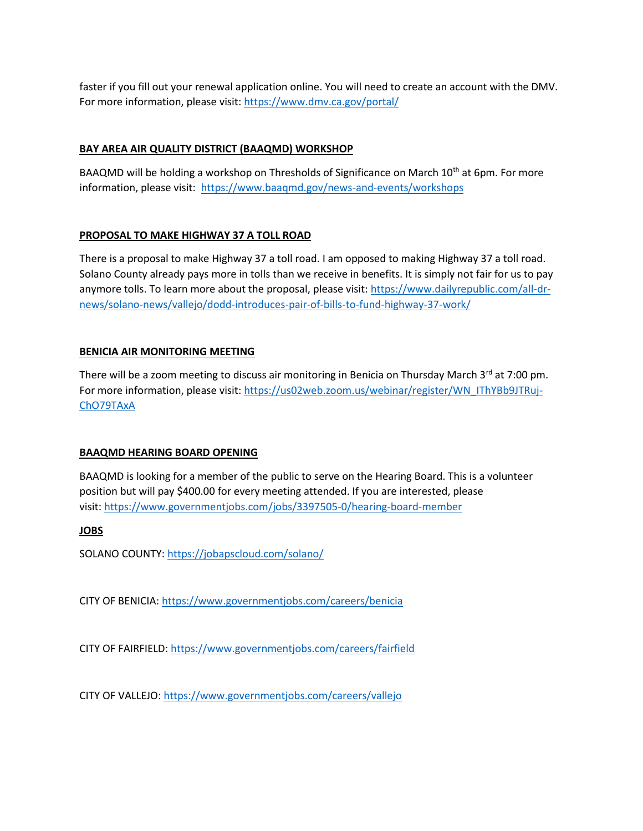faster if you fill out your renewal application online. You will need to create an account with the DMV. For more information, please visit: <https://www.dmv.ca.gov/portal/>

### **BAY AREA AIR QUALITY DISTRICT (BAAQMD) WORKSHOP**

BAAQMD will be holding a workshop on Thresholds of Significance on March 10<sup>th</sup> at 6pm. For more information, please visit: <https://www.baaqmd.gov/news-and-events/workshops>

## **PROPOSAL TO MAKE HIGHWAY 37 A TOLL ROAD**

There is a proposal to make Highway 37 a toll road. I am opposed to making Highway 37 a toll road. Solano County already pays more in tolls than we receive in benefits. It is simply not fair for us to pay anymore tolls. To learn more about the proposal, please visit: [https://www.dailyrepublic.com/all-dr](https://www.dailyrepublic.com/all-dr-news/solano-news/vallejo/dodd-introduces-pair-of-bills-to-fund-highway-37-work/)[news/solano-news/vallejo/dodd-introduces-pair-of-bills-to-fund-highway-37-work/](https://www.dailyrepublic.com/all-dr-news/solano-news/vallejo/dodd-introduces-pair-of-bills-to-fund-highway-37-work/)

## **BENICIA AIR MONITORING MEETING**

There will be a zoom meeting to discuss air monitoring in Benicia on Thursday March 3<sup>rd</sup> at 7:00 pm. For more information, please visit: [https://us02web.zoom.us/webinar/register/WN\\_IThYBb9JTRuj-](https://us02web.zoom.us/webinar/register/WN_IThYBb9JTRuj-ChO79TAxA)[ChO79TAxA](https://us02web.zoom.us/webinar/register/WN_IThYBb9JTRuj-ChO79TAxA)

#### **BAAQMD HEARING BOARD OPENING**

BAAQMD is looking for a member of the public to serve on the Hearing Board. This is a volunteer position but will pay \$400.00 for every meeting attended. If you are interested, please visit: <https://www.governmentjobs.com/jobs/3397505-0/hearing-board-member>

#### **JOBS**

SOLANO COUNTY: <https://jobapscloud.com/solano/>

CITY OF BENICIA: <https://www.governmentjobs.com/careers/benicia>

CITY OF FAIRFIELD: <https://www.governmentjobs.com/careers/fairfield>

CITY OF VALLEJO: <https://www.governmentjobs.com/careers/vallejo>